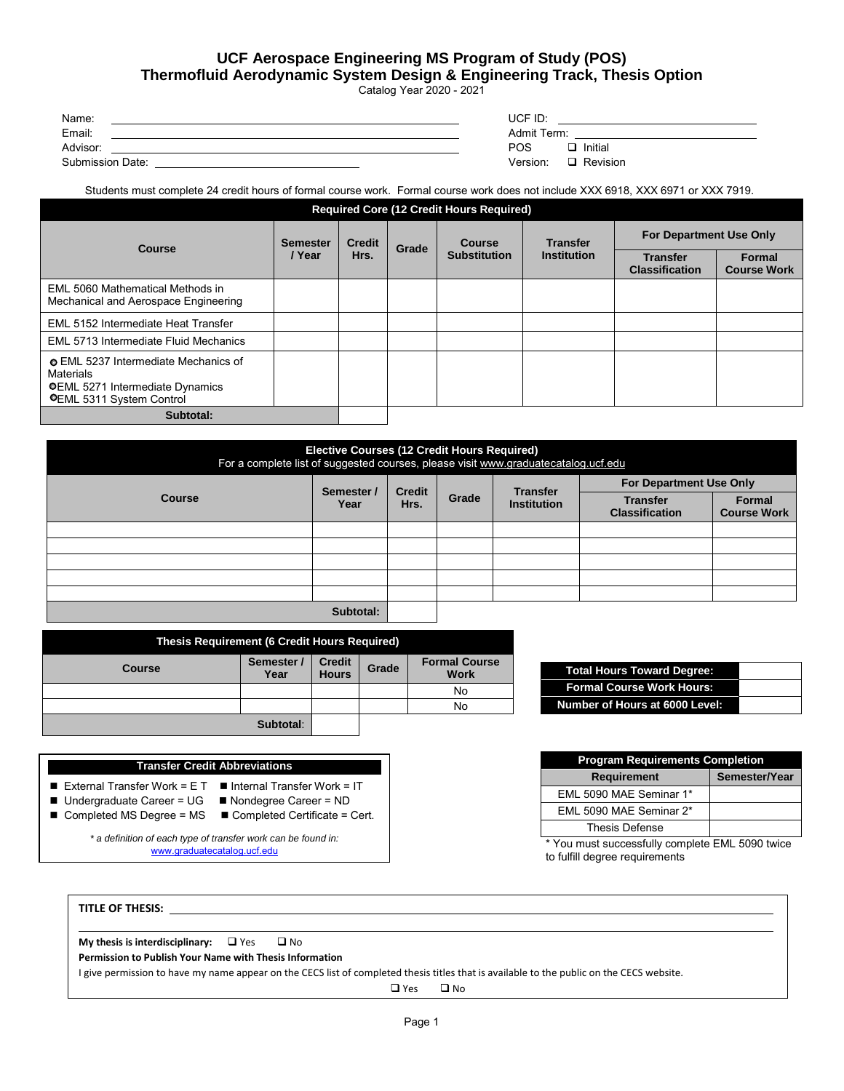## **UCF Aerospace Engineering MS Program of Study (POS) Thermofluid Aerodynamic System Design & Engineering Track, Thesis Option**

Catalog Year 2020 - 2021

| Name:            | UCF ID:              |
|------------------|----------------------|
| Email:           | Admit Term:          |
| Advisor:         | POS<br>Initial       |
| Submission Date: | Version:<br>Revision |

Students must complete 24 credit hours of formal course work. Formal course work does not include XXX 6918, XXX 6971 or XXX 7919.

| <b>Required Core (12 Credit Hours Required)</b>                                                                                     |                           |                       |       |                               |                                       |                                          |                              |
|-------------------------------------------------------------------------------------------------------------------------------------|---------------------------|-----------------------|-------|-------------------------------|---------------------------------------|------------------------------------------|------------------------------|
| <b>Course</b>                                                                                                                       | <b>Semester</b><br>/ Year | <b>Credit</b><br>Hrs. | Grade | Course<br><b>Substitution</b> | <b>Transfer</b><br><b>Institution</b> | <b>For Department Use Only</b>           |                              |
|                                                                                                                                     |                           |                       |       |                               |                                       | <b>Transfer</b><br><b>Classification</b> | Formal<br><b>Course Work</b> |
| EML 5060 Mathematical Methods in<br>Mechanical and Aerospace Engineering                                                            |                           |                       |       |                               |                                       |                                          |                              |
| EML 5152 Intermediate Heat Transfer                                                                                                 |                           |                       |       |                               |                                       |                                          |                              |
| EML 5713 Intermediate Fluid Mechanics                                                                                               |                           |                       |       |                               |                                       |                                          |                              |
| <b>EML</b> 5237 Intermediate Mechanics of<br>Materials<br><b>OEML 5271 Intermediate Dynamics</b><br><b>OEML 5311 System Control</b> |                           |                       |       |                               |                                       |                                          |                              |
| Subtotal:                                                                                                                           |                           |                       |       |                               |                                       |                                          |                              |

| <b>Elective Courses (12 Credit Hours Required)</b><br>For a complete list of suggested courses, please visit www.graduatecatalog.ucf.edu |                    |                       |       |                                       |                                          |                              |
|------------------------------------------------------------------------------------------------------------------------------------------|--------------------|-----------------------|-------|---------------------------------------|------------------------------------------|------------------------------|
| <b>Course</b>                                                                                                                            | Semester /<br>Year | <b>Credit</b><br>Hrs. | Grade | <b>Transfer</b><br><b>Institution</b> | <b>For Department Use Only</b>           |                              |
|                                                                                                                                          |                    |                       |       |                                       | <b>Transfer</b><br><b>Classification</b> | Formal<br><b>Course Work</b> |
|                                                                                                                                          |                    |                       |       |                                       |                                          |                              |
|                                                                                                                                          |                    |                       |       |                                       |                                          |                              |
|                                                                                                                                          |                    |                       |       |                                       |                                          |                              |
|                                                                                                                                          |                    |                       |       |                                       |                                          |                              |
|                                                                                                                                          |                    |                       |       |                                       |                                          |                              |
|                                                                                                                                          | Subtotal:          |                       |       |                                       |                                          |                              |

| Thesis Requirement (6 Credit Hours Required) |                    |                               |       |                                     |  |  |
|----------------------------------------------|--------------------|-------------------------------|-------|-------------------------------------|--|--|
| <b>Course</b>                                | Semester /<br>Year | <b>Credit</b><br><b>Hours</b> | Grade | <b>Formal Course</b><br><b>Work</b> |  |  |
|                                              |                    |                               |       | No                                  |  |  |
|                                              |                    |                               |       | No                                  |  |  |
|                                              | Subtotal:          |                               |       |                                     |  |  |

## **Transfer Credit Abbreviations**

- External Transfer Work =  $ET$   $\blacksquare$  Internal Transfer Work = IT
- Undergraduate Career = UG <br>■ Nondegree Career = ND
- Completed MS Degree = MS Completed Certificate = Cert.

*\* a definition of each type of transfer work can be found in:* www.graduatecatalog.ucf.edu

**Formal Course Work Hours: Number of Hours at 6000 Level:**

**Total Hours Toward Degree:**

| <b>Program Requirements Completion</b> |               |  |  |  |  |
|----------------------------------------|---------------|--|--|--|--|
| <b>Requirement</b>                     | Semester/Year |  |  |  |  |
| EML 5090 MAE Seminar 1*                |               |  |  |  |  |
| EML 5090 MAE Seminar 2*                |               |  |  |  |  |
| <b>Thesis Defense</b>                  |               |  |  |  |  |

\* You must successfully complete EML 5090 twice to fulfill degree requirements

**TITLE OF THESIS:** 

**My thesis is interdisciplinary:**  $\Box$  Yes  $\Box$  No

**Permission to Publish Your Name with Thesis Information** 

I give permission to have my name appear on the CECS list of completed thesis titles that is available to the public on the CECS website.

□ Yes □ No